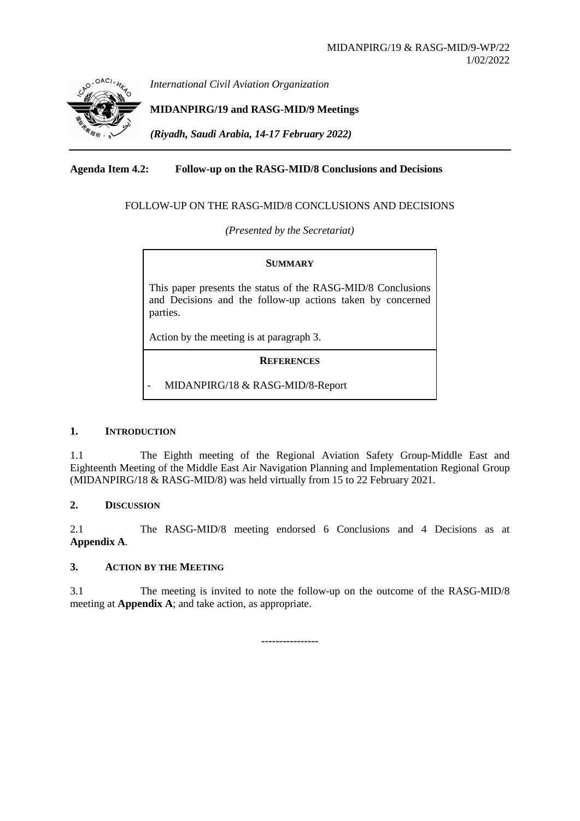

*International Civil Aviation Organization*

**MIDANPIRG/19 and RASG-MID/9 Meetings**

*(Riyadh, Saudi Arabia, 14-17 February 2022)*

### **Agenda Item 4.2: Follow-up on the RASG-MID/8 Conclusions and Decisions**

### FOLLOW-UP ON THE RASG-MID/8 CONCLUSIONS AND DECISIONS

*(Presented by the Secretariat)*

### **SUMMARY**

This paper presents the status of the RASG-MID/8 Conclusions and Decisions and the follow-up actions taken by concerned parties.

Action by the meeting is at paragraph 3.

**REFERENCES**

- MIDANPIRG/18 & RASG-MID/8-Report

### **1. INTRODUCTION**

1.1 The Eighth meeting of the Regional Aviation Safety Group-Middle East and Eighteenth Meeting of the Middle East Air Navigation Planning and Implementation Regional Group (MIDANPIRG/18 & RASG-MID/8) was held virtually from 15 to 22 February 2021.

### **2. DISCUSSION**

2.1 The RASG-MID/8 meeting endorsed 6 Conclusions and 4 Decisions as at **Appendix A**.

### **3. ACTION BY THE MEETING**

3.1 The meeting is invited to note the follow-up on the outcome of the RASG-MID/8 meeting at **Appendix A**; and take action, as appropriate.

**----------------**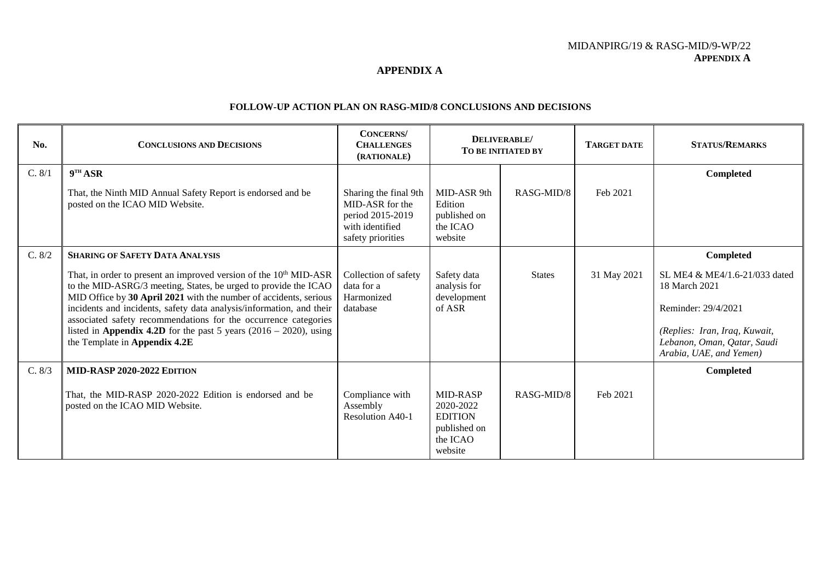#### **APPENDIX A**

#### **FOLLOW-UP ACTION PLAN ON RASG-MID/8 CONCLUSIONS AND DECISIONS**

| No.    | <b>CONCLUSIONS AND DECISIONS</b>                                                                                                                                                                                                                                                                                                                                                                                                                                                                                    | <b>CONCERNS</b><br><b>CHALLENGES</b><br>(RATIONALE)                                                  | DELIVERABLE/<br>TO BE INITIATED BY                                             |               | <b>TARGET DATE</b> | <b>STATUS/REMARKS</b>                                                                                                                                                         |
|--------|---------------------------------------------------------------------------------------------------------------------------------------------------------------------------------------------------------------------------------------------------------------------------------------------------------------------------------------------------------------------------------------------------------------------------------------------------------------------------------------------------------------------|------------------------------------------------------------------------------------------------------|--------------------------------------------------------------------------------|---------------|--------------------|-------------------------------------------------------------------------------------------------------------------------------------------------------------------------------|
| C. 8/1 | 9 <sup>TH</sup> ASR<br>That, the Ninth MID Annual Safety Report is endorsed and be<br>posted on the ICAO MID Website.                                                                                                                                                                                                                                                                                                                                                                                               | Sharing the final 9th<br>MID-ASR for the<br>period 2015-2019<br>with identified<br>safety priorities | MID-ASR 9th<br>Edition<br>published on<br>the ICAO<br>website                  | RASG-MID/8    | Feb 2021           | Completed                                                                                                                                                                     |
| C. 8/2 | <b>SHARING OF SAFETY DATA ANALYSIS</b><br>That, in order to present an improved version of the 10 <sup>th</sup> MID-ASR<br>to the MID-ASRG/3 meeting, States, be urged to provide the ICAO<br>MID Office by 30 April 2021 with the number of accidents, serious<br>incidents and incidents, safety data analysis/information, and their<br>associated safety recommendations for the occurrence categories<br>listed in Appendix 4.2D for the past 5 years $(2016 - 2020)$ , using<br>the Template in Appendix 4.2E | Collection of safety<br>data for a<br>Harmonized<br>database                                         | Safety data<br>analysis for<br>development<br>of ASR                           | <b>States</b> | 31 May 2021        | Completed<br>SL ME4 & ME4/1.6-21/033 dated<br>18 March 2021<br>Reminder: 29/4/2021<br>(Replies: Iran, Iraq, Kuwait,<br>Lebanon, Oman, Qatar, Saudi<br>Arabia, UAE, and Yemen) |
| C. 8/3 | MID-RASP 2020-2022 EDITION<br>That, the MID-RASP 2020-2022 Edition is endorsed and be<br>posted on the ICAO MID Website.                                                                                                                                                                                                                                                                                                                                                                                            | Compliance with<br>Assembly<br>Resolution A40-1                                                      | MID-RASP<br>2020-2022<br><b>EDITION</b><br>published on<br>the ICAO<br>website | RASG-MID/8    | Feb 2021           | Completed                                                                                                                                                                     |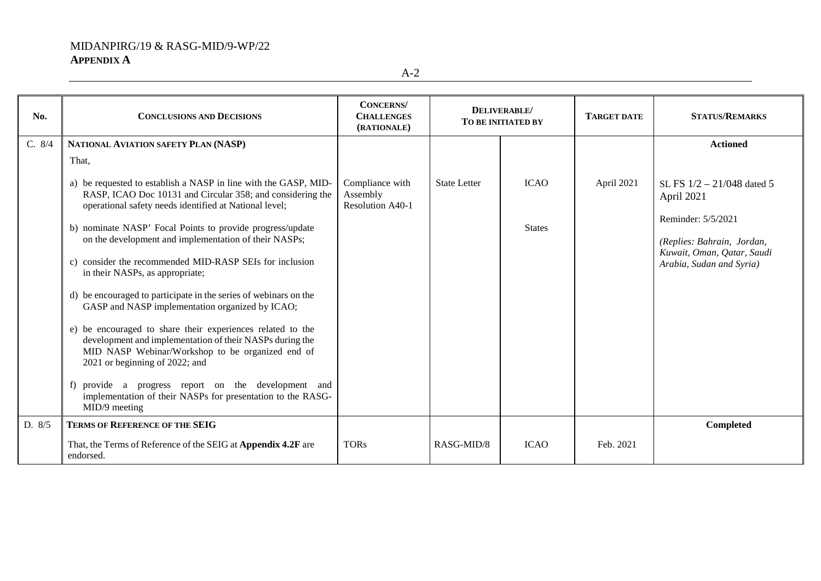A-2

| No.    | <b>CONCLUSIONS AND DECISIONS</b>                                                                                                                                                                                                                                                                                                                                                                                                                                                                                                                                                                                                                                                                                                                                                                                                                                         | <b>CONCERNS</b><br><b>CHALLENGES</b><br>(RATIONALE) | DELIVERABLE/<br><b>TO BE INITIATED BY</b> |                              | <b>TARGET DATE</b> | <b>STATUS/REMARKS</b>                                                                                                                                    |
|--------|--------------------------------------------------------------------------------------------------------------------------------------------------------------------------------------------------------------------------------------------------------------------------------------------------------------------------------------------------------------------------------------------------------------------------------------------------------------------------------------------------------------------------------------------------------------------------------------------------------------------------------------------------------------------------------------------------------------------------------------------------------------------------------------------------------------------------------------------------------------------------|-----------------------------------------------------|-------------------------------------------|------------------------------|--------------------|----------------------------------------------------------------------------------------------------------------------------------------------------------|
| C. 8/4 | NATIONAL AVIATION SAFETY PLAN (NASP)                                                                                                                                                                                                                                                                                                                                                                                                                                                                                                                                                                                                                                                                                                                                                                                                                                     |                                                     |                                           |                              |                    | <b>Actioned</b>                                                                                                                                          |
|        | That,                                                                                                                                                                                                                                                                                                                                                                                                                                                                                                                                                                                                                                                                                                                                                                                                                                                                    |                                                     |                                           |                              |                    |                                                                                                                                                          |
|        | a) be requested to establish a NASP in line with the GASP, MID-<br>RASP, ICAO Doc 10131 and Circular 358; and considering the<br>operational safety needs identified at National level;<br>b) nominate NASP' Focal Points to provide progress/update<br>on the development and implementation of their NASPs;<br>c) consider the recommended MID-RASP SEIs for inclusion<br>in their NASPs, as appropriate;<br>d) be encouraged to participate in the series of webinars on the<br>GASP and NASP implementation organized by ICAO;<br>e) be encouraged to share their experiences related to the<br>development and implementation of their NASPs during the<br>MID NASP Webinar/Workshop to be organized end of<br>2021 or beginning of 2022; and<br>f) provide a progress report on the development and<br>implementation of their NASPs for presentation to the RASG- | Compliance with<br>Assembly<br>Resolution A40-1     | <b>State Letter</b>                       | <b>ICAO</b><br><b>States</b> | April 2021         | SL FS $1/2 - 21/048$ dated 5<br>April 2021<br>Reminder: 5/5/2021<br>(Replies: Bahrain, Jordan,<br>Kuwait, Oman, Qatar, Saudi<br>Arabia, Sudan and Syria) |
|        | MID/9 meeting                                                                                                                                                                                                                                                                                                                                                                                                                                                                                                                                                                                                                                                                                                                                                                                                                                                            |                                                     |                                           |                              |                    |                                                                                                                                                          |
| D. 8/5 | <b>TERMS OF REFERENCE OF THE SEIG</b>                                                                                                                                                                                                                                                                                                                                                                                                                                                                                                                                                                                                                                                                                                                                                                                                                                    |                                                     |                                           |                              |                    | Completed                                                                                                                                                |
|        | That, the Terms of Reference of the SEIG at Appendix 4.2F are<br>endorsed.                                                                                                                                                                                                                                                                                                                                                                                                                                                                                                                                                                                                                                                                                                                                                                                               | <b>TORs</b>                                         | RASG-MID/8                                | <b>ICAO</b>                  | Feb. 2021          |                                                                                                                                                          |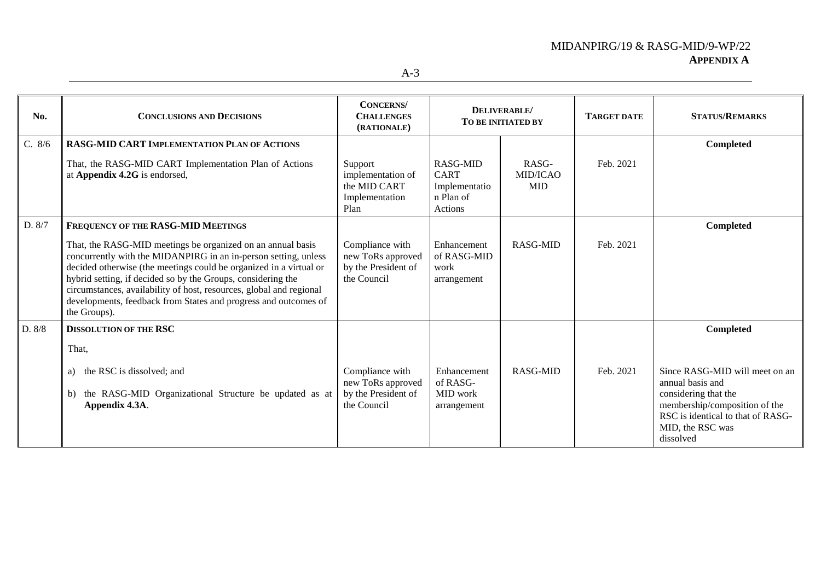| No.    | <b>CONCLUSIONS AND DECISIONS</b>                                                                                                                                                                                                                                                                                                                                                                                                                                     | <b>CONCERNS</b><br><b>CHALLENGES</b><br>(RATIONALE)                        | DELIVERABLE/<br>TO BE INITIATED BY                               |                                 | <b>TARGET DATE</b> | <b>STATUS/REMARKS</b>                                                                                                                                                                          |
|--------|----------------------------------------------------------------------------------------------------------------------------------------------------------------------------------------------------------------------------------------------------------------------------------------------------------------------------------------------------------------------------------------------------------------------------------------------------------------------|----------------------------------------------------------------------------|------------------------------------------------------------------|---------------------------------|--------------------|------------------------------------------------------------------------------------------------------------------------------------------------------------------------------------------------|
| C. 8/6 | <b>RASG-MID CART IMPLEMENTATION PLAN OF ACTIONS</b><br>That, the RASG-MID CART Implementation Plan of Actions<br>at Appendix 4.2G is endorsed,                                                                                                                                                                                                                                                                                                                       | Support<br>implementation of<br>the MID CART<br>Implementation<br>Plan     | RASG-MID<br><b>CART</b><br>Implementatio<br>n Plan of<br>Actions | RASG-<br>MID/ICAO<br><b>MID</b> | Feb. 2021          | Completed                                                                                                                                                                                      |
| D. 8/7 | FREQUENCY OF THE RASG-MID MEETINGS<br>That, the RASG-MID meetings be organized on an annual basis<br>concurrently with the MIDANPIRG in an in-person setting, unless<br>decided otherwise (the meetings could be organized in a virtual or<br>hybrid setting, if decided so by the Groups, considering the<br>circumstances, availability of host, resources, global and regional<br>developments, feedback from States and progress and outcomes of<br>the Groups). | Compliance with<br>new ToRs approved<br>by the President of<br>the Council | Enhancement<br>of RASG-MID<br>work<br>arrangement                | RASG-MID                        | Feb. 2021          | Completed                                                                                                                                                                                      |
| D. 8/8 | <b>DISSOLUTION OF THE RSC</b><br>That,<br>the RSC is dissolved; and<br>a)<br>the RASG-MID Organizational Structure be updated as at<br>b)<br>Appendix 4.3A.                                                                                                                                                                                                                                                                                                          | Compliance with<br>new ToRs approved<br>by the President of<br>the Council | Enhancement<br>of RASG-<br>MID work<br>arrangement               | <b>RASG-MID</b>                 | Feb. 2021          | Completed<br>Since RASG-MID will meet on an<br>annual basis and<br>considering that the<br>membership/composition of the<br>RSC is identical to that of RASG-<br>MID, the RSC was<br>dissolved |